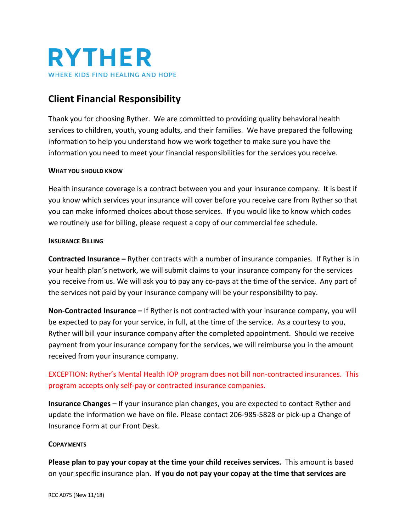

# **Client Financial Responsibility**

Thank you for choosing Ryther. We are committed to providing quality behavioral health services to children, youth, young adults, and their families. We have prepared the following information to help you understand how we work together to make sure you have the information you need to meet your financial responsibilities for the services you receive.

#### **WHAT YOU SHOULD KNOW**

Health insurance coverage is a contract between you and your insurance company. It is best if you know which services your insurance will cover before you receive care from Ryther so that you can make informed choices about those services. If you would like to know which codes we routinely use for billing, please request a copy of our commercial fee schedule.

#### **INSURANCE BILLING**

**Contracted Insurance –** Ryther contracts with a number of insurance companies. If Ryther is in your health plan's network, we will submit claims to your insurance company for the services you receive from us. We will ask you to pay any co-pays at the time of the service. Any part of the services not paid by your insurance company will be your responsibility to pay.

**Non-Contracted Insurance –** If Ryther is not contracted with your insurance company, you will be expected to pay for your service, in full, at the time of the service. As a courtesy to you, Ryther will bill your insurance company after the completed appointment. Should we receive payment from your insurance company for the services, we will reimburse you in the amount received from your insurance company.

## EXCEPTION: Ryther's Mental Health IOP program does not bill non-contracted insurances. This program accepts only self-pay or contracted insurance companies.

**Insurance Changes –** If your insurance plan changes, you are expected to contact Ryther and update the information we have on file. Please contact 206-985-5828 or pick-up a Change of Insurance Form at our Front Desk.

#### **COPAYMENTS**

**Please plan to pay your copay at the time your child receives services.** This amount is based on your specific insurance plan. **If you do not pay your copay at the time that services are**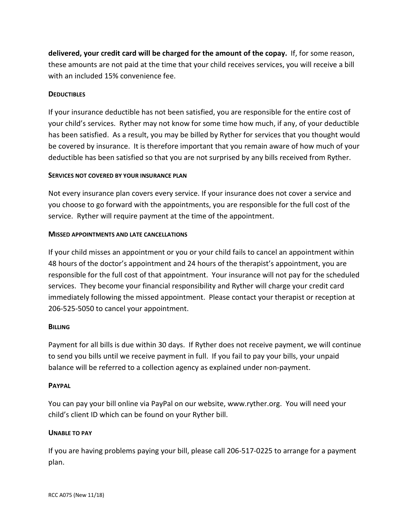**delivered, your credit card will be charged for the amount of the copay.** If, for some reason, these amounts are not paid at the time that your child receives services, you will receive a bill with an included 15% convenience fee.

## **DEDUCTIBLES**

If your insurance deductible has not been satisfied, you are responsible for the entire cost of your child's services. Ryther may not know for some time how much, if any, of your deductible has been satisfied. As a result, you may be billed by Ryther for services that you thought would be covered by insurance. It is therefore important that you remain aware of how much of your deductible has been satisfied so that you are not surprised by any bills received from Ryther.

## **SERVICES NOT COVERED BY YOUR INSURANCE PLAN**

Not every insurance plan covers every service. If your insurance does not cover a service and you choose to go forward with the appointments, you are responsible for the full cost of the service. Ryther will require payment at the time of the appointment.

### **MISSED APPOINTMENTS AND LATE CANCELLATIONS**

If your child misses an appointment or you or your child fails to cancel an appointment within 48 hours of the doctor's appointment and 24 hours of the therapist's appointment, you are responsible for the full cost of that appointment. Your insurance will not pay for the scheduled services. They become your financial responsibility and Ryther will charge your credit card immediately following the missed appointment. Please contact your therapist or reception at 206-525-5050 to cancel your appointment.

## **BILLING**

Payment for all bills is due within 30 days. If Ryther does not receive payment, we will continue to send you bills until we receive payment in full. If you fail to pay your bills, your unpaid balance will be referred to a collection agency as explained under non-payment.

#### **PAYPAL**

You can pay your bill online via PayPal on our website, www.ryther.org. You will need your child's client ID which can be found on your Ryther bill.

## **UNABLE TO PAY**

If you are having problems paying your bill, please call 206-517-0225 to arrange for a payment plan.